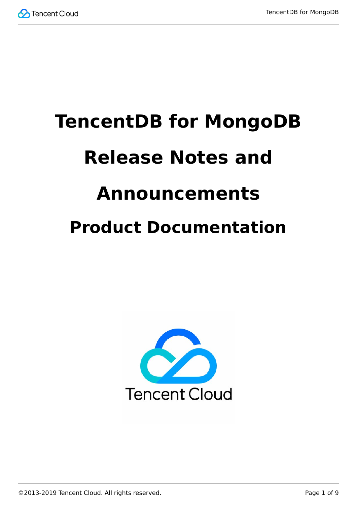

# **TencentDB for MongoDB Release Notes and Announcements Product Documentation**



©2013-2019 Tencent Cloud. All rights reserved. Page 1 of 9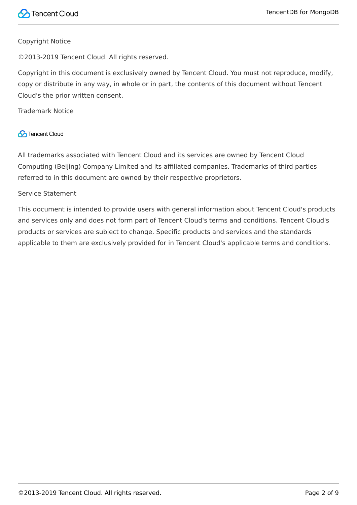#### Copyright Notice

©2013-2019 Tencent Cloud. All rights reserved.

Copyright in this document is exclusively owned by Tencent Cloud. You must not reproduce, modify, copy or distribute in any way, in whole or in part, the contents of this document without Tencent Cloud's the prior written consent.

Trademark Notice

#### **C** Tencent Cloud

All trademarks associated with Tencent Cloud and its services are owned by Tencent Cloud Computing (Beijing) Company Limited and its affiliated companies. Trademarks of third parties referred to in this document are owned by their respective proprietors.

#### Service Statement

This document is intended to provide users with general information about Tencent Cloud's products and services only and does not form part of Tencent Cloud's terms and conditions. Tencent Cloud's products or services are subject to change. Specific products and services and the standards applicable to them are exclusively provided for in Tencent Cloud's applicable terms and conditions.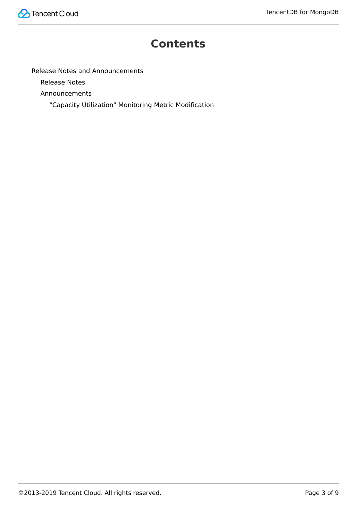

#### **Contents**

[Release Notes and Announcements](#page-3-0)

[Release Notes](#page-3-1)

[Announcements](#page-8-0)

["Capacity Utilization" Monitoring Metric Modification](#page-8-1)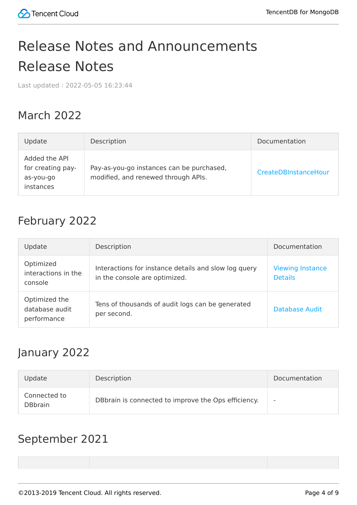## <span id="page-3-1"></span><span id="page-3-0"></span>Release Notes and Announcements Release Notes

Last updated:2022-05-05 16:23:44

#### March 2022

| Update                                                       | Description                                                                      | Documentation        |
|--------------------------------------------------------------|----------------------------------------------------------------------------------|----------------------|
| Added the API<br>for creating pay-<br>as-you-go<br>instances | Pay-as-you-go instances can be purchased,<br>modified, and renewed through APIs. | CreateDBInstanceHour |

#### February 2022

| Update                                         | Description                                                                           | Documentation                             |
|------------------------------------------------|---------------------------------------------------------------------------------------|-------------------------------------------|
| Optimized<br>interactions in the<br>console    | Interactions for instance details and slow log query<br>in the console are optimized. | <b>Viewing Instance</b><br><b>Details</b> |
| Optimized the<br>database audit<br>performance | Tens of thousands of audit logs can be generated<br>per second.                       | Database Audit                            |

#### January 2022

| Update                         | Description                                         | Documentation |
|--------------------------------|-----------------------------------------------------|---------------|
| Connected to<br><b>DBbrain</b> | DBbrain is connected to improve the Ops efficiency. |               |

#### September 2021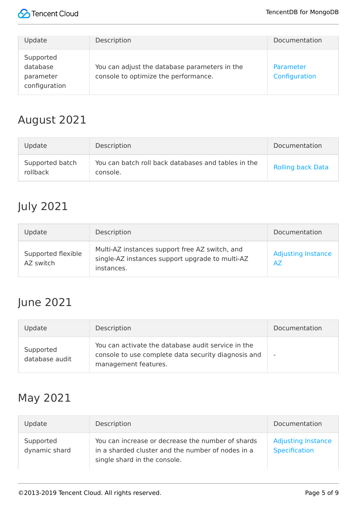

| Update                                              | Description                                                                           | Documentation              |
|-----------------------------------------------------|---------------------------------------------------------------------------------------|----------------------------|
| Supported<br>database<br>parameter<br>configuration | You can adjust the database parameters in the<br>console to optimize the performance. | Parameter<br>Configuration |

#### August 2021

| Update                      | Description                                                     | Documentation            |
|-----------------------------|-----------------------------------------------------------------|--------------------------|
| Supported batch<br>rollback | You can batch roll back databases and tables in the<br>console. | <b>Rolling back Data</b> |

#### July 2021

| Update                          | Description                                                                                                     | Documentation                   |
|---------------------------------|-----------------------------------------------------------------------------------------------------------------|---------------------------------|
| Supported flexible<br>AZ switch | Multi-AZ instances support free AZ switch, and<br>single-AZ instances support upgrade to multi-AZ<br>instances. | <b>Adjusting Instance</b><br>AZ |

### June 2021

| Update                      | Description                                                                                                                       | Documentation            |
|-----------------------------|-----------------------------------------------------------------------------------------------------------------------------------|--------------------------|
| Supported<br>database audit | You can activate the database audit service in the<br>console to use complete data security diagnosis and<br>management features. | $\overline{\phantom{a}}$ |

#### May 2021

| Update                     | Description                                                                                                                            | Documentation                              |
|----------------------------|----------------------------------------------------------------------------------------------------------------------------------------|--------------------------------------------|
| Supported<br>dynamic shard | You can increase or decrease the number of shards<br>in a sharded cluster and the number of nodes in a<br>single shard in the console. | <b>Adjusting Instance</b><br>Specification |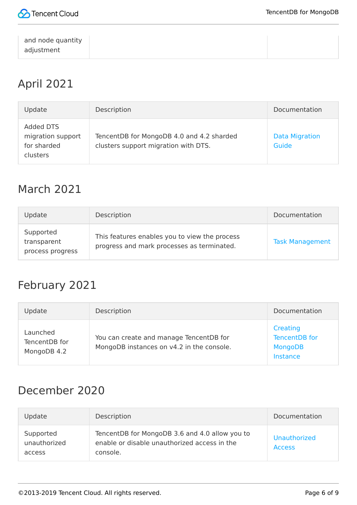

| and node quantity |  |
|-------------------|--|
|                   |  |
| adjustment        |  |
|                   |  |

#### April 2021

| Update                                                           | Description                                                                       | Documentation                  |
|------------------------------------------------------------------|-----------------------------------------------------------------------------------|--------------------------------|
| Added DTS<br>migration support<br>for sharded<br><b>clusters</b> | TencentDB for MongoDB 4.0 and 4.2 sharded<br>clusters support migration with DTS. | <b>Data Migration</b><br>Guide |

#### March 2021

| Update                                       | Description                                                                                 | Documentation          |
|----------------------------------------------|---------------------------------------------------------------------------------------------|------------------------|
| Supported<br>transparent<br>process progress | This features enables you to view the process<br>progress and mark processes as terminated. | <b>Task Management</b> |

#### February 2021

| Update                                   | Description                                                                          | Documentation                                           |
|------------------------------------------|--------------------------------------------------------------------------------------|---------------------------------------------------------|
| Launched<br>TencentDB for<br>MongoDB 4.2 | You can create and manage TencentDB for<br>MongoDB instances on v4.2 in the console. | Creating<br>TencentDB for<br><b>MongoDB</b><br>Instance |

#### December 2020

| Update                              | Description                                                                                                | Documentation                 |
|-------------------------------------|------------------------------------------------------------------------------------------------------------|-------------------------------|
| Supported<br>unauthorized<br>access | TencentDB for MongoDB 3.6 and 4.0 allow you to<br>enable or disable unauthorized access in the<br>console. | Unauthorized<br><b>Access</b> |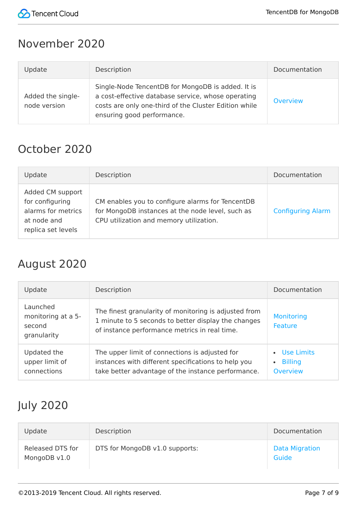

#### November 2020

| Update                            | Description                                                                                                                                                                                    | Documentation   |
|-----------------------------------|------------------------------------------------------------------------------------------------------------------------------------------------------------------------------------------------|-----------------|
| Added the single-<br>node version | Single-Node TencentDB for MongoDB is added. It is<br>a cost-effective database service, whose operating<br>costs are only one-third of the Cluster Edition while<br>ensuring good performance. | <b>Overview</b> |

#### October 2020

| Update                                                                                         | Description                                                                                                                                     | Documentation            |
|------------------------------------------------------------------------------------------------|-------------------------------------------------------------------------------------------------------------------------------------------------|--------------------------|
| Added CM support<br>for configuring<br>alarms for metrics<br>at node and<br>replica set levels | CM enables you to configure alarms for TencentDB<br>for MongoDB instances at the node level, such as<br>CPU utilization and memory utilization. | <b>Configuring Alarm</b> |

### August 2020

| Update                                                  | Description                                                                                                                                                   | Documentation                                                |
|---------------------------------------------------------|---------------------------------------------------------------------------------------------------------------------------------------------------------------|--------------------------------------------------------------|
| Launched<br>monitoring at a 5-<br>second<br>granularity | The finest granularity of monitoring is adjusted from<br>1 minute to 5 seconds to better display the changes<br>of instance performance metrics in real time. | Monitoring<br>Feature                                        |
| Updated the<br>upper limit of<br>connections            | The upper limit of connections is adjusted for<br>instances with different specifications to help you<br>take better advantage of the instance performance.   | Use Limits<br><b>Billing</b><br>$\bullet$<br><b>Overview</b> |

## July 2020

| Update                           | Description                    | Documentation                  |
|----------------------------------|--------------------------------|--------------------------------|
| Released DTS for<br>MongoDB v1.0 | DTS for MongoDB v1.0 supports: | <b>Data Migration</b><br>Guide |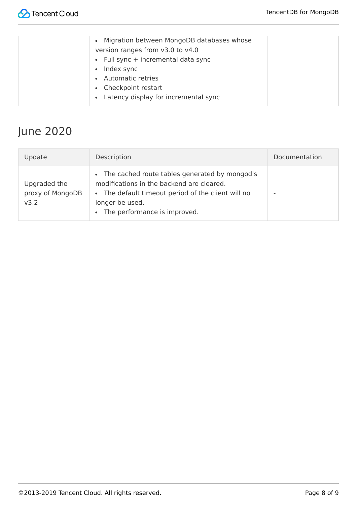## June 2020

| Update                                   | Description                                                                                                                                                                                           | Documentation |
|------------------------------------------|-------------------------------------------------------------------------------------------------------------------------------------------------------------------------------------------------------|---------------|
| Upgraded the<br>proxy of MongoDB<br>v3.2 | • The cached route tables generated by mongod's<br>modifications in the backend are cleared.<br>• The default timeout period of the client will no<br>longer be used.<br>The performance is improved. |               |